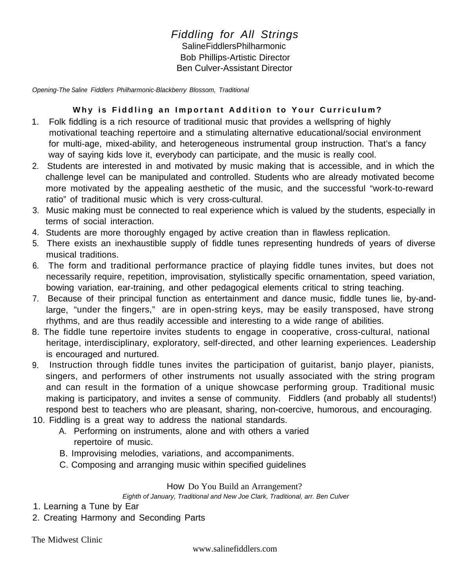## *Fiddling for All Strings* Saline Fiddlers Philharmonic Bob Phillips-Artistic Director Ben Culver-Assistant Director

*Opening-The Saline Fiddlers Philharmonic-Blackberry Blossom, Traditional*

## **Why is Fiddling an Important Addition to Your Curriculum?**

- 1. Folk fiddling is a rich resource of traditional music that provides a wellspring of highly motivational teaching repertoire and a stimulating alternative educational/social environment for multi-age, mixed-ability, and heterogeneous instrumental group instruction. That's a fancy way of saying kids love it, everybody can participate, and the music is really cool.
- 2. Students are interested in and motivated by music making that is accessible, and in which the challenge level can be manipulated and controlled. Students who are already motivated become more motivated by the appealing aesthetic of the music, and the successful "work-to-reward ratio" of traditional music which is very cross-cultural.
- 3. Music making must be connected to real experience which is valued by the students, especially in terms of social interaction.
- 4. Students are more thoroughly engaged by active creation than in flawless replication.
- 5. There exists an inexhaustible supply of fiddle tunes representing hundreds of years of diverse musical traditions.
- 6. The form and traditional performance practice of playing fiddle tunes invites, but does not necessarily require, repetition, improvisation, stylistically specific ornamentation, speed variation, bowing variation, ear-training, and other pedagogical elements critical to string teaching.
- 7. Because of their principal function as entertainment and dance music, fiddle tunes lie, by-andlarge, "under the fingers," are in open-string keys, may be easily transposed, have strong rhythms, and are thus readily accessible and interesting to a wide range of abilities.
- 8. The fiddle tune repertoire invites students to engage in cooperative, cross-cultural, national heritage, interdisciplinary, exploratory, self-directed, and other learning experiences. Leadership is encouraged and nurtured.
- 9. Instruction through fiddle tunes invites the participation of guitarist, banjo player, pianists, singers, and performers of other instruments not usually associated with the string program and can result in the formation of a unique showcase performing group. Traditional music making is participatory, and invites a sense of community. Fiddlers (and probably all students!) respond best to teachers who are pleasant, sharing, non-coercive, humorous, and encouraging.
- 10. Fiddling is a great way to address the national standards.
	- A. Performing on instruments, alone and with others a varied repertoire of music.
	- B. Improvising melodies, variations, and accompaniments.
	- C. Composing and arranging music within specified guidelines

## How Do You Build an Arrangement?

*Eighth of January, Traditional and New Joe Clark, Traditional, arr. Ben Culver*

- 1. Learning a Tune by Ear
- 2. Creating Harmony and Seconding Parts

The Midwest Clinic